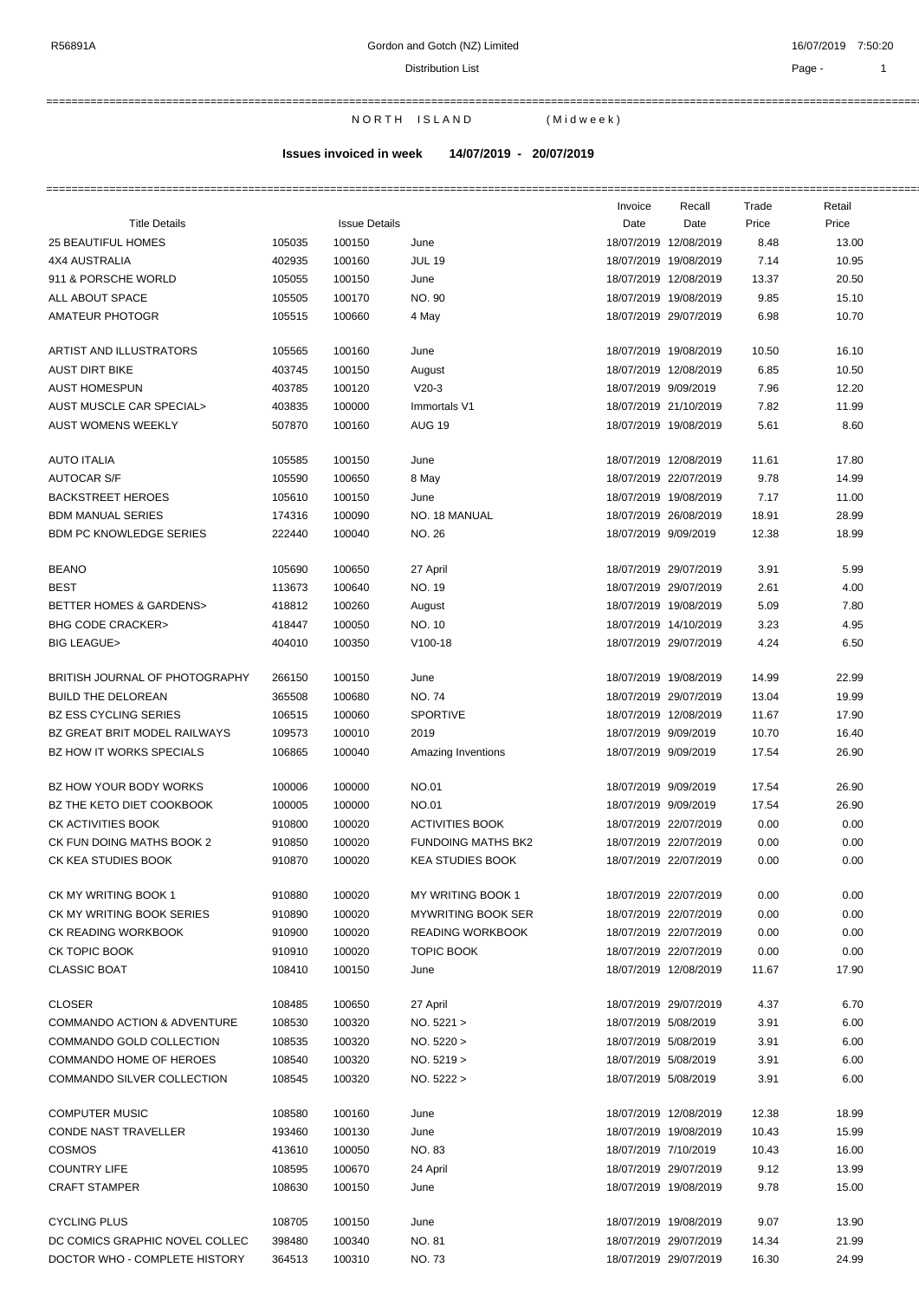Distribution List **Page - 1** 

===========================================================================================================================================================

===========================================================================================================================================================

N O R T H I S L A N D (Mid week)

**Issues invoiced in week 14/07/2019 - 20/07/2019**

|                                        |        |                      |                           | Invoice              | Recall                | Trade | Retail |
|----------------------------------------|--------|----------------------|---------------------------|----------------------|-----------------------|-------|--------|
| <b>Title Details</b>                   |        | <b>Issue Details</b> |                           | Date                 | Date                  | Price | Price  |
| <b>25 BEAUTIFUL HOMES</b>              | 105035 | 100150               | June                      |                      | 18/07/2019 12/08/2019 | 8.48  | 13.00  |
| 4X4 AUSTRALIA                          | 402935 | 100160               | <b>JUL 19</b>             |                      | 18/07/2019 19/08/2019 | 7.14  | 10.95  |
| 911 & PORSCHE WORLD                    | 105055 | 100150               | June                      |                      | 18/07/2019 12/08/2019 | 13.37 | 20.50  |
| ALL ABOUT SPACE                        | 105505 | 100170               | NO. 90                    |                      | 18/07/2019 19/08/2019 | 9.85  | 15.10  |
| AMATEUR PHOTOGR                        | 105515 | 100660               | 4 May                     |                      | 18/07/2019 29/07/2019 | 6.98  | 10.70  |
|                                        |        |                      |                           |                      |                       |       |        |
| ARTIST AND ILLUSTRATORS                | 105565 | 100160               | June                      |                      | 18/07/2019 19/08/2019 | 10.50 | 16.10  |
| <b>AUST DIRT BIKE</b>                  | 403745 | 100150               | August                    |                      | 18/07/2019 12/08/2019 | 6.85  | 10.50  |
| <b>AUST HOMESPUN</b>                   | 403785 | 100120               | $V20-3$                   | 18/07/2019 9/09/2019 |                       | 7.96  | 12.20  |
| AUST MUSCLE CAR SPECIAL>               | 403835 | 100000               | Immortals V1              |                      | 18/07/2019 21/10/2019 | 7.82  | 11.99  |
| <b>AUST WOMENS WEEKLY</b>              | 507870 | 100160               | <b>AUG 19</b>             |                      | 18/07/2019 19/08/2019 | 5.61  | 8.60   |
|                                        |        |                      |                           |                      |                       |       |        |
| <b>AUTO ITALIA</b>                     | 105585 | 100150               | June                      |                      | 18/07/2019 12/08/2019 | 11.61 | 17.80  |
| <b>AUTOCAR S/F</b>                     | 105590 | 100650               | 8 May                     |                      | 18/07/2019 22/07/2019 | 9.78  | 14.99  |
| <b>BACKSTREET HEROES</b>               | 105610 | 100150               | June                      |                      | 18/07/2019 19/08/2019 | 7.17  | 11.00  |
| <b>BDM MANUAL SERIES</b>               | 174316 | 100090               | NO. 18 MANUAL             |                      | 18/07/2019 26/08/2019 | 18.91 | 28.99  |
| <b>BDM PC KNOWLEDGE SERIES</b>         | 222440 | 100040               | NO. 26                    | 18/07/2019 9/09/2019 |                       | 12.38 | 18.99  |
|                                        |        |                      |                           |                      |                       |       |        |
| <b>BEANO</b>                           | 105690 | 100650               | 27 April                  |                      | 18/07/2019 29/07/2019 | 3.91  | 5.99   |
| <b>BEST</b>                            | 113673 | 100640               | NO. 19                    |                      | 18/07/2019 29/07/2019 | 2.61  | 4.00   |
| BETTER HOMES & GARDENS>                | 418812 | 100260               | August                    |                      | 18/07/2019 19/08/2019 | 5.09  | 7.80   |
| <b>BHG CODE CRACKER&gt;</b>            | 418447 | 100050               | NO. 10                    |                      | 18/07/2019 14/10/2019 | 3.23  | 4.95   |
| <b>BIG LEAGUE&gt;</b>                  | 404010 | 100350               | $V100-18$                 |                      | 18/07/2019 29/07/2019 | 4.24  | 6.50   |
|                                        |        |                      |                           |                      |                       |       |        |
| BRITISH JOURNAL OF PHOTOGRAPHY         | 266150 | 100150               | June                      |                      | 18/07/2019 19/08/2019 | 14.99 | 22.99  |
| <b>BUILD THE DELOREAN</b>              | 365508 | 100680               | <b>NO.74</b>              |                      | 18/07/2019 29/07/2019 | 13.04 | 19.99  |
| <b>BZ ESS CYCLING SERIES</b>           | 106515 | 100060               | <b>SPORTIVE</b>           |                      | 18/07/2019 12/08/2019 | 11.67 | 17.90  |
| BZ GREAT BRIT MODEL RAILWAYS           | 109573 | 100010               | 2019                      | 18/07/2019 9/09/2019 |                       | 10.70 | 16.40  |
| BZ HOW IT WORKS SPECIALS               | 106865 | 100040               | Amazing Inventions        | 18/07/2019 9/09/2019 |                       | 17.54 | 26.90  |
|                                        |        |                      |                           |                      |                       |       |        |
| BZ HOW YOUR BODY WORKS                 | 100006 | 100000               | NO.01                     | 18/07/2019 9/09/2019 |                       | 17.54 | 26.90  |
| BZ THE KETO DIET COOKBOOK              | 100005 | 100000               | <b>NO.01</b>              | 18/07/2019 9/09/2019 |                       | 17.54 | 26.90  |
| CK ACTIVITIES BOOK                     | 910800 | 100020               | <b>ACTIVITIES BOOK</b>    |                      | 18/07/2019 22/07/2019 | 0.00  | 0.00   |
| CK FUN DOING MATHS BOOK 2              | 910850 | 100020               | <b>FUNDOING MATHS BK2</b> |                      | 18/07/2019 22/07/2019 | 0.00  | 0.00   |
| CK KEA STUDIES BOOK                    | 910870 | 100020               | <b>KEA STUDIES BOOK</b>   |                      | 18/07/2019 22/07/2019 | 0.00  | 0.00   |
|                                        |        |                      |                           |                      |                       |       |        |
| CK MY WRITING BOOK 1                   | 910880 | 100020               | MY WRITING BOOK 1         |                      | 18/07/2019 22/07/2019 | 0.00  | 0.00   |
| CK MY WRITING BOOK SERIES              | 910890 | 100020               | <b>MYWRITING BOOK SER</b> |                      | 18/07/2019 22/07/2019 | 0.00  | 0.00   |
| CK READING WORKBOOK                    | 910900 | 100020               | <b>READING WORKBOOK</b>   |                      | 18/07/2019 22/07/2019 | 0.00  | 0.00   |
| CK TOPIC BOOK                          | 910910 | 100020               | <b>TOPIC BOOK</b>         |                      | 18/07/2019 22/07/2019 | 0.00  | 0.00   |
| <b>CLASSIC BOAT</b>                    | 108410 | 100150               | June                      |                      | 18/07/2019 12/08/2019 | 11.67 | 17.90  |
|                                        |        |                      |                           |                      |                       |       |        |
| <b>CLOSER</b>                          | 108485 | 100650               | 27 April                  |                      | 18/07/2019 29/07/2019 | 4.37  | 6.70   |
| <b>COMMANDO ACTION &amp; ADVENTURE</b> | 108530 | 100320               | NO. 5221 >                | 18/07/2019 5/08/2019 |                       | 3.91  | 6.00   |
| COMMANDO GOLD COLLECTION               | 108535 | 100320               | NO. 5220 >                | 18/07/2019 5/08/2019 |                       | 3.91  | 6.00   |
| COMMANDO HOME OF HEROES                | 108540 | 100320               | NO. 5219 >                | 18/07/2019 5/08/2019 |                       | 3.91  | 6.00   |
| COMMANDO SILVER COLLECTION             | 108545 | 100320               | NO. 5222 >                | 18/07/2019 5/08/2019 |                       | 3.91  | 6.00   |
|                                        |        |                      |                           |                      |                       |       |        |
| <b>COMPUTER MUSIC</b>                  | 108580 | 100160               | June                      |                      | 18/07/2019 12/08/2019 | 12.38 | 18.99  |
| CONDE NAST TRAVELLER                   | 193460 | 100130               | June                      |                      | 18/07/2019 19/08/2019 | 10.43 | 15.99  |
| <b>COSMOS</b>                          | 413610 | 100050               | NO. 83                    | 18/07/2019 7/10/2019 |                       | 10.43 | 16.00  |
|                                        |        |                      |                           |                      |                       |       |        |
| <b>COUNTRY LIFE</b>                    | 108595 | 100670               | 24 April                  |                      | 18/07/2019 29/07/2019 | 9.12  | 13.99  |
| <b>CRAFT STAMPER</b>                   | 108630 | 100150               | June                      |                      | 18/07/2019 19/08/2019 | 9.78  | 15.00  |
| <b>CYCLING PLUS</b>                    | 108705 | 100150               | June                      |                      | 18/07/2019 19/08/2019 | 9.07  | 13.90  |
| DC COMICS GRAPHIC NOVEL COLLEC         | 398480 | 100340               | <b>NO. 81</b>             |                      | 18/07/2019 29/07/2019 | 14.34 | 21.99  |
|                                        |        |                      |                           |                      |                       |       |        |

DOCTOR WHO - COMPLETE HISTORY 364513 100310 NO. 73 18/07/2019 29/07/2019 16.30 24.99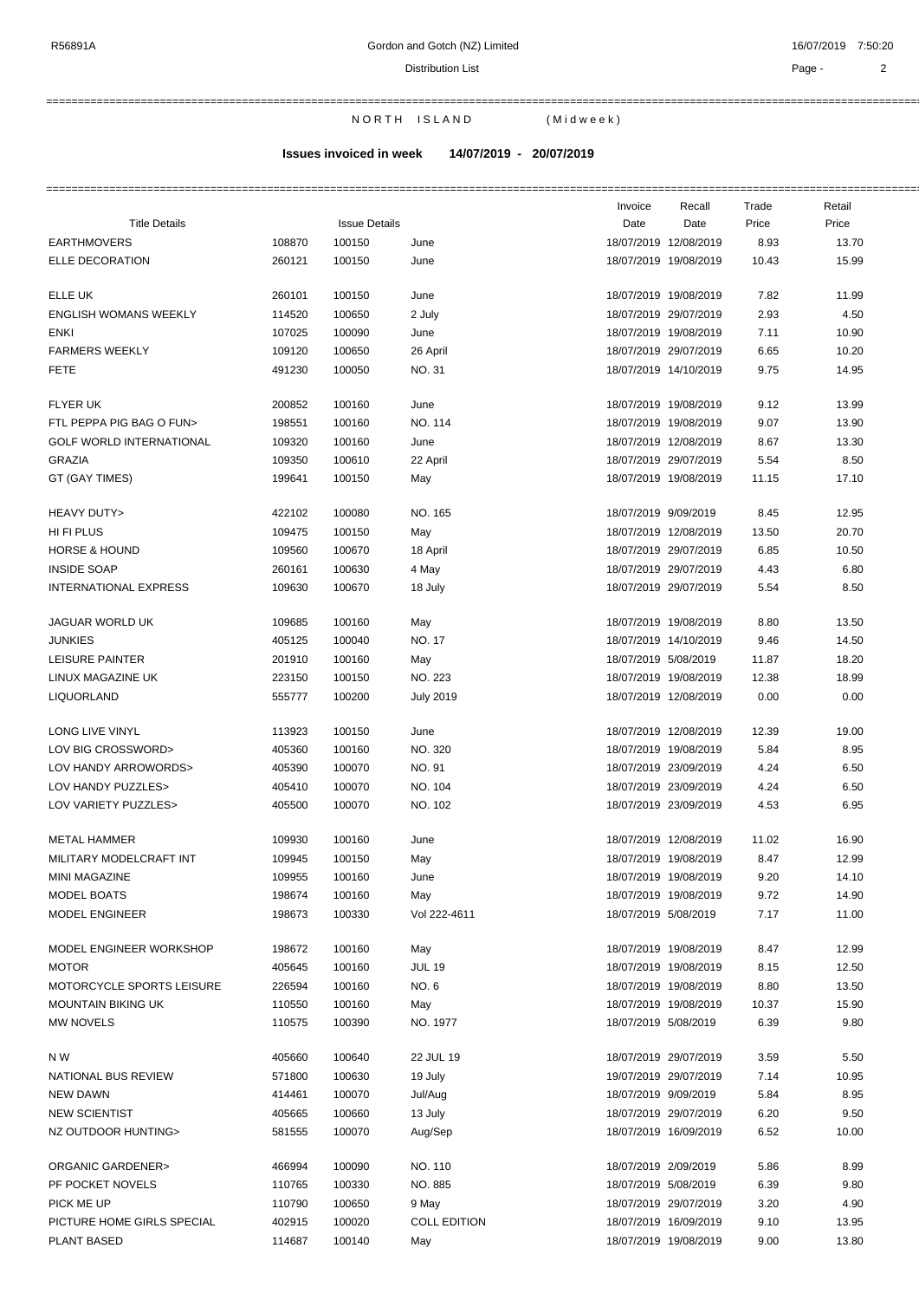===========================================================================================================================================================

N OR TH ISLAND (Midweek)

**Issues invoiced in week 14/07/2019 - 20/07/2019**

|                                  |        |                      |                     | Invoice              | Recall                | Trade | Retail |
|----------------------------------|--------|----------------------|---------------------|----------------------|-----------------------|-------|--------|
| <b>Title Details</b>             |        | <b>Issue Details</b> |                     | Date                 | Date                  | Price | Price  |
| <b>EARTHMOVERS</b>               | 108870 | 100150               | June                |                      | 18/07/2019 12/08/2019 | 8.93  | 13.70  |
| ELLE DECORATION                  | 260121 | 100150               | June                |                      | 18/07/2019 19/08/2019 | 10.43 | 15.99  |
| ELLE UK                          | 260101 | 100150               | June                |                      | 18/07/2019 19/08/2019 | 7.82  | 11.99  |
| <b>ENGLISH WOMANS WEEKLY</b>     | 114520 | 100650               | 2 July              |                      | 18/07/2019 29/07/2019 | 2.93  | 4.50   |
| <b>ENKI</b>                      | 107025 | 100090               | June                |                      | 18/07/2019 19/08/2019 | 7.11  | 10.90  |
| <b>FARMERS WEEKLY</b>            | 109120 | 100650               | 26 April            |                      | 18/07/2019 29/07/2019 | 6.65  | 10.20  |
| <b>FETE</b>                      | 491230 | 100050               | <b>NO.31</b>        |                      | 18/07/2019 14/10/2019 | 9.75  | 14.95  |
| <b>FLYER UK</b>                  | 200852 | 100160               | June                |                      | 18/07/2019 19/08/2019 | 9.12  | 13.99  |
| FTL PEPPA PIG BAG O FUN>         | 198551 | 100160               | NO. 114             |                      | 18/07/2019 19/08/2019 | 9.07  | 13.90  |
| <b>GOLF WORLD INTERNATIONAL</b>  | 109320 | 100160               | June                |                      | 18/07/2019 12/08/2019 | 8.67  | 13.30  |
| GRAZIA                           | 109350 | 100610               | 22 April            |                      | 18/07/2019 29/07/2019 | 5.54  | 8.50   |
| GT (GAY TIMES)                   | 199641 | 100150               | May                 |                      | 18/07/2019 19/08/2019 | 11.15 | 17.10  |
|                                  |        |                      |                     |                      |                       |       |        |
| HEAVY DUTY>                      | 422102 | 100080               | NO. 165             | 18/07/2019 9/09/2019 |                       | 8.45  | 12.95  |
| HI FI PLUS                       | 109475 | 100150               | May                 |                      | 18/07/2019 12/08/2019 | 13.50 | 20.70  |
| <b>HORSE &amp; HOUND</b>         | 109560 | 100670               | 18 April            |                      | 18/07/2019 29/07/2019 | 6.85  | 10.50  |
| <b>INSIDE SOAP</b>               | 260161 | 100630               | 4 May               |                      | 18/07/2019 29/07/2019 | 4.43  | 6.80   |
| <b>INTERNATIONAL EXPRESS</b>     | 109630 | 100670               | 18 July             |                      | 18/07/2019 29/07/2019 | 5.54  | 8.50   |
| <b>JAGUAR WORLD UK</b>           | 109685 | 100160               | May                 |                      | 18/07/2019 19/08/2019 | 8.80  | 13.50  |
| <b>JUNKIES</b>                   | 405125 | 100040               | <b>NO. 17</b>       |                      | 18/07/2019 14/10/2019 | 9.46  | 14.50  |
| LEISURE PAINTER                  | 201910 | 100160               | May                 | 18/07/2019 5/08/2019 |                       | 11.87 | 18.20  |
| LINUX MAGAZINE UK                | 223150 | 100150               | NO. 223             |                      | 18/07/2019 19/08/2019 | 12.38 | 18.99  |
| LIQUORLAND                       | 555777 | 100200               | <b>July 2019</b>    |                      | 18/07/2019 12/08/2019 | 0.00  | 0.00   |
| LONG LIVE VINYL                  | 113923 | 100150               | June                |                      | 18/07/2019 12/08/2019 | 12.39 | 19.00  |
| LOV BIG CROSSWORD>               | 405360 | 100160               | NO. 320             |                      | 18/07/2019 19/08/2019 | 5.84  | 8.95   |
| LOV HANDY ARROWORDS>             | 405390 | 100070               | NO. 91              |                      | 18/07/2019 23/09/2019 | 4.24  | 6.50   |
| LOV HANDY PUZZLES>               | 405410 | 100070               | NO. 104             |                      | 18/07/2019 23/09/2019 | 4.24  | 6.50   |
| LOV VARIETY PUZZLES>             | 405500 | 100070               | NO. 102             |                      | 18/07/2019 23/09/2019 | 4.53  | 6.95   |
| <b>METAL HAMMER</b>              | 109930 | 100160               | June                |                      | 18/07/2019 12/08/2019 | 11.02 | 16.90  |
| MILITARY MODELCRAFT INT          | 109945 | 100150               | May                 |                      | 18/07/2019 19/08/2019 | 8.47  | 12.99  |
| <b>MINI MAGAZINE</b>             | 109955 | 100160               | June                |                      | 18/07/2019 19/08/2019 | 9.20  | 14.10  |
| <b>MODEL BOATS</b>               | 198674 | 100160               | May                 |                      | 18/07/2019 19/08/2019 | 9.72  | 14.90  |
| MODEL ENGINEER                   | 198673 | 100330               | Vol 222-4611        | 18/07/2019 5/08/2019 |                       | 7.17  | 11.00  |
| MODEL ENGINEER WORKSHOP          | 198672 | 100160               | May                 |                      | 18/07/2019 19/08/2019 | 8.47  | 12.99  |
| <b>MOTOR</b>                     | 405645 | 100160               | <b>JUL 19</b>       |                      | 18/07/2019 19/08/2019 | 8.15  | 12.50  |
| <b>MOTORCYCLE SPORTS LEISURE</b> | 226594 | 100160               | NO. 6               |                      | 18/07/2019 19/08/2019 | 8.80  | 13.50  |
| <b>MOUNTAIN BIKING UK</b>        | 110550 | 100160               | May                 |                      | 18/07/2019 19/08/2019 | 10.37 | 15.90  |
| MW NOVELS                        | 110575 | 100390               | NO. 1977            | 18/07/2019 5/08/2019 |                       | 6.39  | 9.80   |
| N W                              | 405660 | 100640               | 22 JUL 19           |                      | 18/07/2019 29/07/2019 | 3.59  | 5.50   |
| NATIONAL BUS REVIEW              | 571800 | 100630               | 19 July             |                      | 19/07/2019 29/07/2019 | 7.14  | 10.95  |
| <b>NEW DAWN</b>                  | 414461 | 100070               | Jul/Aug             |                      | 18/07/2019 9/09/2019  | 5.84  | 8.95   |
| <b>NEW SCIENTIST</b>             | 405665 | 100660               | 13 July             |                      | 18/07/2019 29/07/2019 | 6.20  | 9.50   |
| NZ OUTDOOR HUNTING>              | 581555 | 100070               | Aug/Sep             |                      | 18/07/2019 16/09/2019 | 6.52  | 10.00  |
|                                  |        |                      |                     |                      |                       |       |        |
| ORGANIC GARDENER>                | 466994 | 100090               | NO. 110             | 18/07/2019 2/09/2019 |                       | 5.86  | 8.99   |
| PF POCKET NOVELS                 | 110765 | 100330               | NO. 885             | 18/07/2019 5/08/2019 |                       | 6.39  | 9.80   |
| PICK ME UP                       | 110790 | 100650               | 9 May               |                      | 18/07/2019 29/07/2019 | 3.20  | 4.90   |
| PICTURE HOME GIRLS SPECIAL       | 402915 | 100020               | <b>COLL EDITION</b> |                      | 18/07/2019 16/09/2019 | 9.10  | 13.95  |
| PLANT BASED                      | 114687 | 100140               | May                 |                      | 18/07/2019 19/08/2019 | 9.00  | 13.80  |